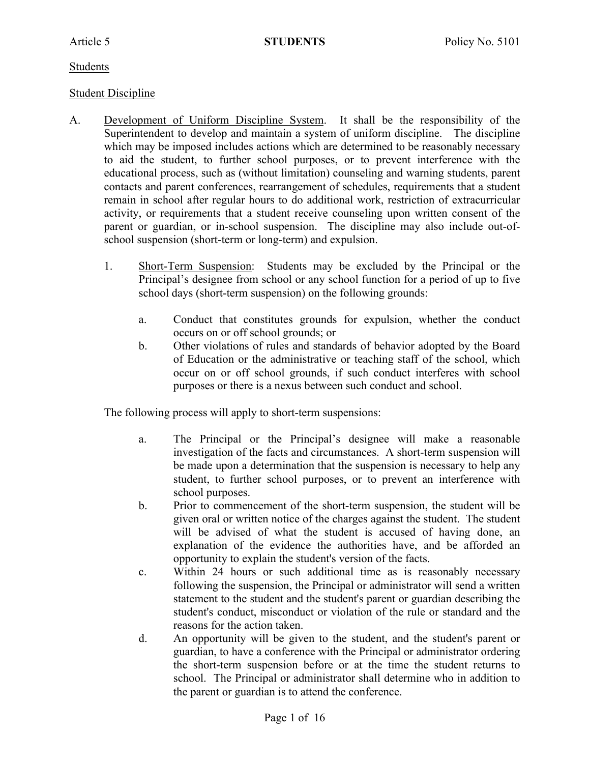### Students

## Student Discipline

- A. Development of Uniform Discipline System. It shall be the responsibility of the Superintendent to develop and maintain a system of uniform discipline. The discipline which may be imposed includes actions which are determined to be reasonably necessary to aid the student, to further school purposes, or to prevent interference with the educational process, such as (without limitation) counseling and warning students, parent contacts and parent conferences, rearrangement of schedules, requirements that a student remain in school after regular hours to do additional work, restriction of extracurricular activity, or requirements that a student receive counseling upon written consent of the parent or guardian, or in-school suspension. The discipline may also include out-ofschool suspension (short-term or long-term) and expulsion.
	- 1. Short-Term Suspension: Students may be excluded by the Principal or the Principal's designee from school or any school function for a period of up to five school days (short-term suspension) on the following grounds:
		- a. Conduct that constitutes grounds for expulsion, whether the conduct occurs on or off school grounds; or
		- b. Other violations of rules and standards of behavior adopted by the Board of Education or the administrative or teaching staff of the school, which occur on or off school grounds, if such conduct interferes with school purposes or there is a nexus between such conduct and school.

The following process will apply to short-term suspensions:

- a. The Principal or the Principal's designee will make a reasonable investigation of the facts and circumstances. A short-term suspension will be made upon a determination that the suspension is necessary to help any student, to further school purposes, or to prevent an interference with school purposes.
- b. Prior to commencement of the short-term suspension, the student will be given oral or written notice of the charges against the student. The student will be advised of what the student is accused of having done, an explanation of the evidence the authorities have, and be afforded an opportunity to explain the student's version of the facts.
- c. Within 24 hours or such additional time as is reasonably necessary following the suspension, the Principal or administrator will send a written statement to the student and the student's parent or guardian describing the student's conduct, misconduct or violation of the rule or standard and the reasons for the action taken.
- d. An opportunity will be given to the student, and the student's parent or guardian, to have a conference with the Principal or administrator ordering the short-term suspension before or at the time the student returns to school. The Principal or administrator shall determine who in addition to the parent or guardian is to attend the conference.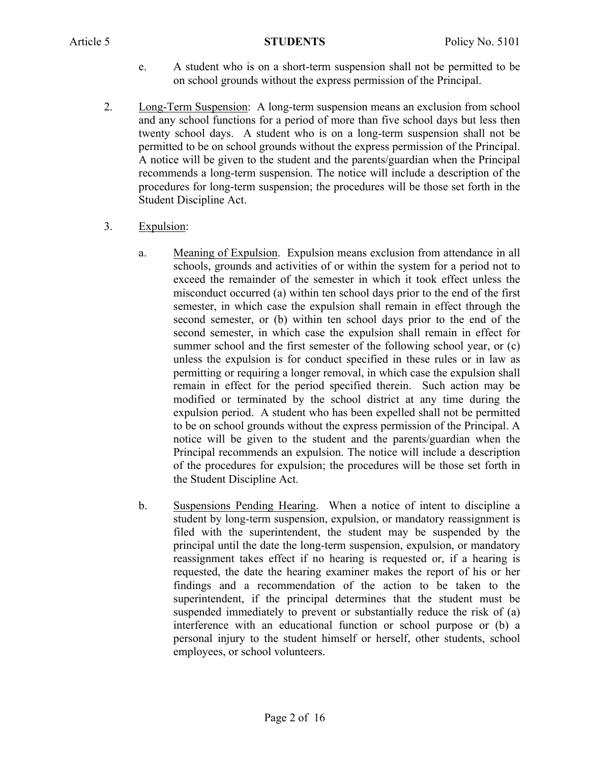- e. A student who is on a short-term suspension shall not be permitted to be on school grounds without the express permission of the Principal.
- 2. Long-Term Suspension: A long-term suspension means an exclusion from school and any school functions for a period of more than five school days but less then twenty school days. A student who is on a long-term suspension shall not be permitted to be on school grounds without the express permission of the Principal. A notice will be given to the student and the parents/guardian when the Principal recommends a long-term suspension. The notice will include a description of the procedures for long-term suspension; the procedures will be those set forth in the Student Discipline Act.
- 3. Expulsion:
	- a. Meaning of Expulsion. Expulsion means exclusion from attendance in all schools, grounds and activities of or within the system for a period not to exceed the remainder of the semester in which it took effect unless the misconduct occurred (a) within ten school days prior to the end of the first semester, in which case the expulsion shall remain in effect through the second semester, or (b) within ten school days prior to the end of the second semester, in which case the expulsion shall remain in effect for summer school and the first semester of the following school year, or (c) unless the expulsion is for conduct specified in these rules or in law as permitting or requiring a longer removal, in which case the expulsion shall remain in effect for the period specified therein. Such action may be modified or terminated by the school district at any time during the expulsion period. A student who has been expelled shall not be permitted to be on school grounds without the express permission of the Principal. A notice will be given to the student and the parents/guardian when the Principal recommends an expulsion. The notice will include a description of the procedures for expulsion; the procedures will be those set forth in the Student Discipline Act.
	- b. Suspensions Pending Hearing. When a notice of intent to discipline a student by long-term suspension, expulsion, or mandatory reassignment is filed with the superintendent, the student may be suspended by the principal until the date the long-term suspension, expulsion, or mandatory reassignment takes effect if no hearing is requested or, if a hearing is requested, the date the hearing examiner makes the report of his or her findings and a recommendation of the action to be taken to the superintendent, if the principal determines that the student must be suspended immediately to prevent or substantially reduce the risk of (a) interference with an educational function or school purpose or (b) a personal injury to the student himself or herself, other students, school employees, or school volunteers.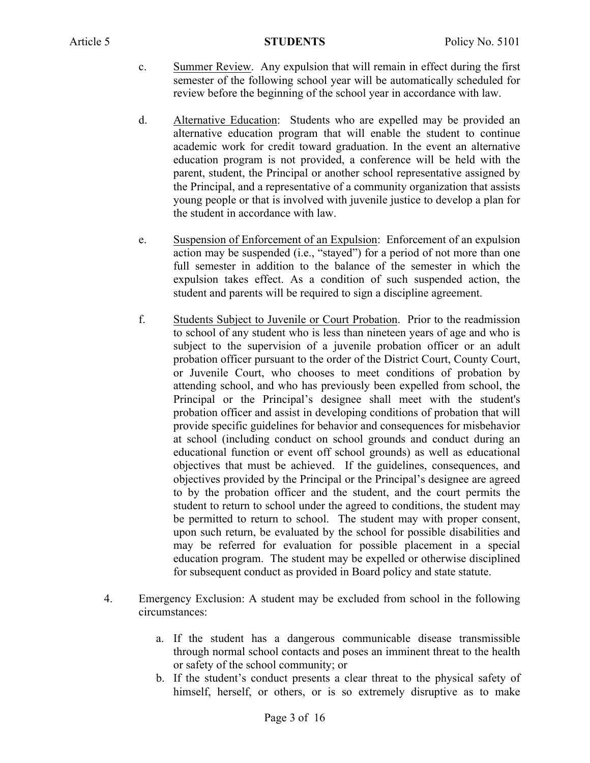- c. Summer Review. Any expulsion that will remain in effect during the first semester of the following school year will be automatically scheduled for review before the beginning of the school year in accordance with law.
- d. Alternative Education: Students who are expelled may be provided an alternative education program that will enable the student to continue academic work for credit toward graduation. In the event an alternative education program is not provided, a conference will be held with the parent, student, the Principal or another school representative assigned by the Principal, and a representative of a community organization that assists young people or that is involved with juvenile justice to develop a plan for the student in accordance with law.
- e. Suspension of Enforcement of an Expulsion: Enforcement of an expulsion action may be suspended (i.e., "stayed") for a period of not more than one full semester in addition to the balance of the semester in which the expulsion takes effect. As a condition of such suspended action, the student and parents will be required to sign a discipline agreement.
- f. Students Subject to Juvenile or Court Probation. Prior to the readmission to school of any student who is less than nineteen years of age and who is subject to the supervision of a juvenile probation officer or an adult probation officer pursuant to the order of the District Court, County Court, or Juvenile Court, who chooses to meet conditions of probation by attending school, and who has previously been expelled from school, the Principal or the Principal's designee shall meet with the student's probation officer and assist in developing conditions of probation that will provide specific guidelines for behavior and consequences for misbehavior at school (including conduct on school grounds and conduct during an educational function or event off school grounds) as well as educational objectives that must be achieved. If the guidelines, consequences, and objectives provided by the Principal or the Principal's designee are agreed to by the probation officer and the student, and the court permits the student to return to school under the agreed to conditions, the student may be permitted to return to school. The student may with proper consent, upon such return, be evaluated by the school for possible disabilities and may be referred for evaluation for possible placement in a special education program. The student may be expelled or otherwise disciplined for subsequent conduct as provided in Board policy and state statute.
- 4. Emergency Exclusion: A student may be excluded from school in the following circumstances:
	- a. If the student has a dangerous communicable disease transmissible through normal school contacts and poses an imminent threat to the health or safety of the school community; or
	- b. If the student's conduct presents a clear threat to the physical safety of himself, herself, or others, or is so extremely disruptive as to make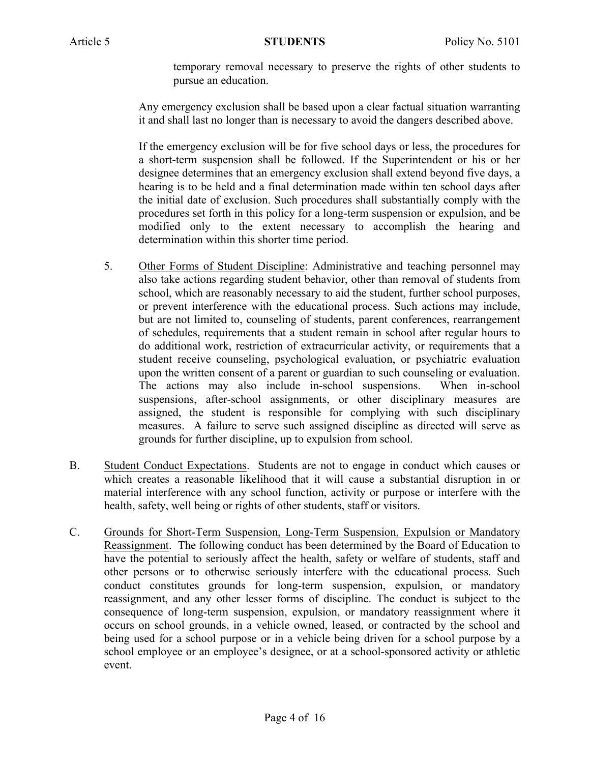temporary removal necessary to preserve the rights of other students to pursue an education.

Any emergency exclusion shall be based upon a clear factual situation warranting it and shall last no longer than is necessary to avoid the dangers described above.

If the emergency exclusion will be for five school days or less, the procedures for a short-term suspension shall be followed. If the Superintendent or his or her designee determines that an emergency exclusion shall extend beyond five days, a hearing is to be held and a final determination made within ten school days after the initial date of exclusion. Such procedures shall substantially comply with the procedures set forth in this policy for a long-term suspension or expulsion, and be modified only to the extent necessary to accomplish the hearing and determination within this shorter time period.

- 5. Other Forms of Student Discipline: Administrative and teaching personnel may also take actions regarding student behavior, other than removal of students from school, which are reasonably necessary to aid the student, further school purposes, or prevent interference with the educational process. Such actions may include, but are not limited to, counseling of students, parent conferences, rearrangement of schedules, requirements that a student remain in school after regular hours to do additional work, restriction of extracurricular activity, or requirements that a student receive counseling, psychological evaluation, or psychiatric evaluation upon the written consent of a parent or guardian to such counseling or evaluation. The actions may also include in-school suspensions. When in-school suspensions, after-school assignments, or other disciplinary measures are assigned, the student is responsible for complying with such disciplinary measures. A failure to serve such assigned discipline as directed will serve as grounds for further discipline, up to expulsion from school.
- B. Student Conduct Expectations. Students are not to engage in conduct which causes or which creates a reasonable likelihood that it will cause a substantial disruption in or material interference with any school function, activity or purpose or interfere with the health, safety, well being or rights of other students, staff or visitors.
- C. Grounds for Short-Term Suspension, Long-Term Suspension, Expulsion or Mandatory Reassignment. The following conduct has been determined by the Board of Education to have the potential to seriously affect the health, safety or welfare of students, staff and other persons or to otherwise seriously interfere with the educational process. Such conduct constitutes grounds for long-term suspension, expulsion, or mandatory reassignment, and any other lesser forms of discipline. The conduct is subject to the consequence of long-term suspension, expulsion, or mandatory reassignment where it occurs on school grounds, in a vehicle owned, leased, or contracted by the school and being used for a school purpose or in a vehicle being driven for a school purpose by a school employee or an employee's designee, or at a school-sponsored activity or athletic event.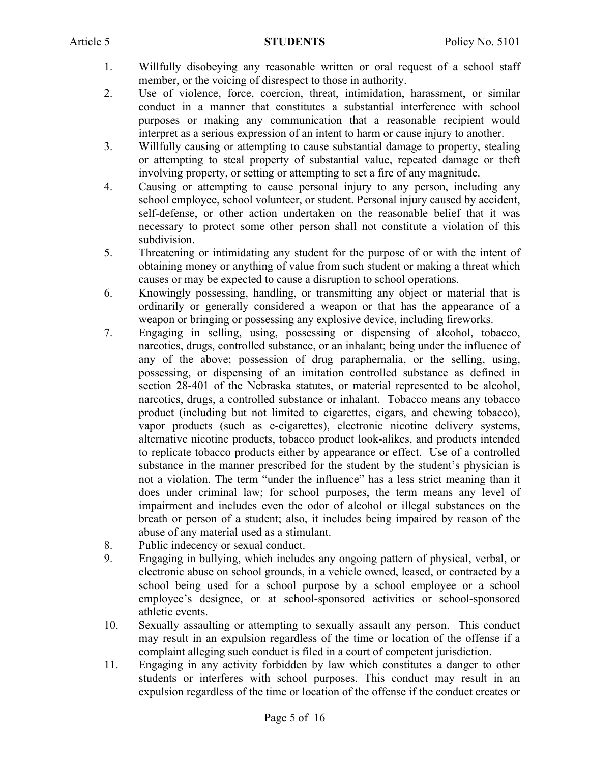- 1. Willfully disobeying any reasonable written or oral request of a school staff member, or the voicing of disrespect to those in authority.
- 2. Use of violence, force, coercion, threat, intimidation, harassment, or similar conduct in a manner that constitutes a substantial interference with school purposes or making any communication that a reasonable recipient would interpret as a serious expression of an intent to harm or cause injury to another.
- 3. Willfully causing or attempting to cause substantial damage to property, stealing or attempting to steal property of substantial value, repeated damage or theft involving property, or setting or attempting to set a fire of any magnitude.
- 4. Causing or attempting to cause personal injury to any person, including any school employee, school volunteer, or student. Personal injury caused by accident, self-defense, or other action undertaken on the reasonable belief that it was necessary to protect some other person shall not constitute a violation of this subdivision.
- 5. Threatening or intimidating any student for the purpose of or with the intent of obtaining money or anything of value from such student or making a threat which causes or may be expected to cause a disruption to school operations.
- 6. Knowingly possessing, handling, or transmitting any object or material that is ordinarily or generally considered a weapon or that has the appearance of a weapon or bringing or possessing any explosive device, including fireworks.
- 7. Engaging in selling, using, possessing or dispensing of alcohol, tobacco, narcotics, drugs, controlled substance, or an inhalant; being under the influence of any of the above; possession of drug paraphernalia, or the selling, using, possessing, or dispensing of an imitation controlled substance as defined in section 28-401 of the Nebraska statutes, or material represented to be alcohol, narcotics, drugs, a controlled substance or inhalant. Tobacco means any tobacco product (including but not limited to cigarettes, cigars, and chewing tobacco), vapor products (such as e-cigarettes), electronic nicotine delivery systems, alternative nicotine products, tobacco product look-alikes, and products intended to replicate tobacco products either by appearance or effect. Use of a controlled substance in the manner prescribed for the student by the student's physician is not a violation. The term "under the influence" has a less strict meaning than it does under criminal law; for school purposes, the term means any level of impairment and includes even the odor of alcohol or illegal substances on the breath or person of a student; also, it includes being impaired by reason of the abuse of any material used as a stimulant.
- 8. Public indecency or sexual conduct.
- 9. Engaging in bullying, which includes any ongoing pattern of physical, verbal, or electronic abuse on school grounds, in a vehicle owned, leased, or contracted by a school being used for a school purpose by a school employee or a school employee's designee, or at school-sponsored activities or school-sponsored athletic events.
- 10. Sexually assaulting or attempting to sexually assault any person. This conduct may result in an expulsion regardless of the time or location of the offense if a complaint alleging such conduct is filed in a court of competent jurisdiction.
- 11. Engaging in any activity forbidden by law which constitutes a danger to other students or interferes with school purposes. This conduct may result in an expulsion regardless of the time or location of the offense if the conduct creates or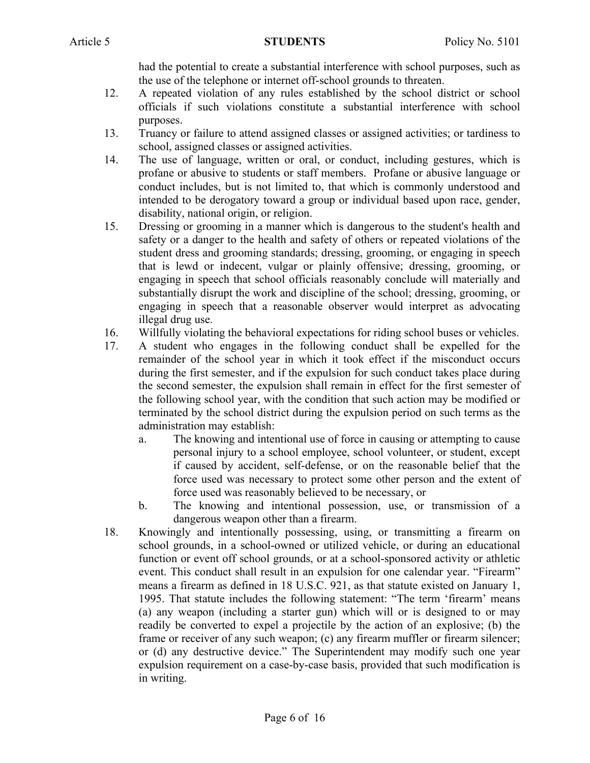had the potential to create a substantial interference with school purposes, such as the use of the telephone or internet off-school grounds to threaten.

- 12. A repeated violation of any rules established by the school district or school officials if such violations constitute a substantial interference with school purposes.
- 13. Truancy or failure to attend assigned classes or assigned activities; or tardiness to school, assigned classes or assigned activities.
- 14. The use of language, written or oral, or conduct, including gestures, which is profane or abusive to students or staff members. Profane or abusive language or conduct includes, but is not limited to, that which is commonly understood and intended to be derogatory toward a group or individual based upon race, gender, disability, national origin, or religion.
- 15. Dressing or grooming in a manner which is dangerous to the student's health and safety or a danger to the health and safety of others or repeated violations of the student dress and grooming standards; dressing, grooming, or engaging in speech that is lewd or indecent, vulgar or plainly offensive; dressing, grooming, or engaging in speech that school officials reasonably conclude will materially and substantially disrupt the work and discipline of the school; dressing, grooming, or engaging in speech that a reasonable observer would interpret as advocating illegal drug use.
- 16. Willfully violating the behavioral expectations for riding school buses or vehicles.
- 17. A student who engages in the following conduct shall be expelled for the remainder of the school year in which it took effect if the misconduct occurs during the first semester, and if the expulsion for such conduct takes place during the second semester, the expulsion shall remain in effect for the first semester of the following school year, with the condition that such action may be modified or terminated by the school district during the expulsion period on such terms as the administration may establish:
	- a. The knowing and intentional use of force in causing or attempting to cause personal injury to a school employee, school volunteer, or student, except if caused by accident, self-defense, or on the reasonable belief that the force used was necessary to protect some other person and the extent of force used was reasonably believed to be necessary, or
	- b. The knowing and intentional possession, use, or transmission of a dangerous weapon other than a firearm.
- 18. Knowingly and intentionally possessing, using, or transmitting a firearm on school grounds, in a school-owned or utilized vehicle, or during an educational function or event off school grounds, or at a school-sponsored activity or athletic event. This conduct shall result in an expulsion for one calendar year. "Firearm" means a firearm as defined in 18 U.S.C. 921, as that statute existed on January 1, 1995. That statute includes the following statement: "The term 'firearm' means (a) any weapon (including a starter gun) which will or is designed to or may readily be converted to expel a projectile by the action of an explosive; (b) the frame or receiver of any such weapon; (c) any firearm muffler or firearm silencer; or (d) any destructive device." The Superintendent may modify such one year expulsion requirement on a case-by-case basis, provided that such modification is in writing.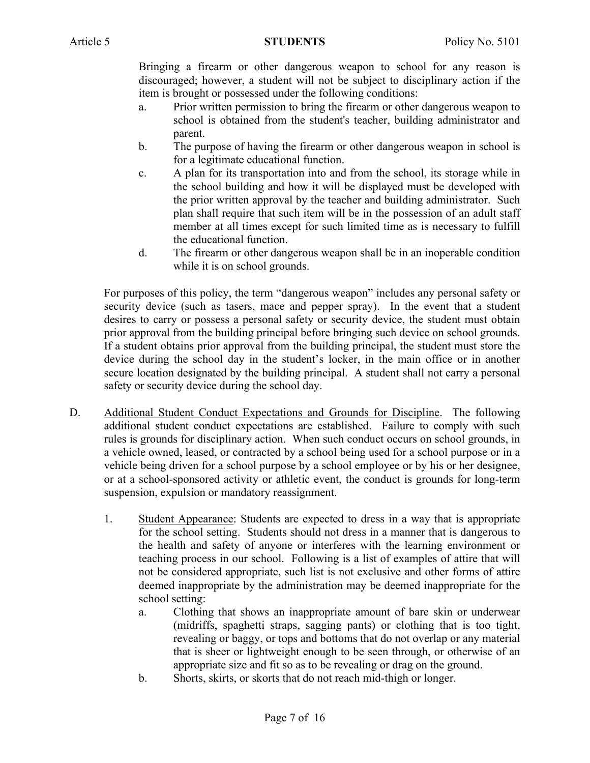Bringing a firearm or other dangerous weapon to school for any reason is discouraged; however, a student will not be subject to disciplinary action if the item is brought or possessed under the following conditions:

- a. Prior written permission to bring the firearm or other dangerous weapon to school is obtained from the student's teacher, building administrator and parent.
- b. The purpose of having the firearm or other dangerous weapon in school is for a legitimate educational function.
- c. A plan for its transportation into and from the school, its storage while in the school building and how it will be displayed must be developed with the prior written approval by the teacher and building administrator. Such plan shall require that such item will be in the possession of an adult staff member at all times except for such limited time as is necessary to fulfill the educational function.
- d. The firearm or other dangerous weapon shall be in an inoperable condition while it is on school grounds.

For purposes of this policy, the term "dangerous weapon" includes any personal safety or security device (such as tasers, mace and pepper spray). In the event that a student desires to carry or possess a personal safety or security device, the student must obtain prior approval from the building principal before bringing such device on school grounds. If a student obtains prior approval from the building principal, the student must store the device during the school day in the student's locker, in the main office or in another secure location designated by the building principal. A student shall not carry a personal safety or security device during the school day.

- D. Additional Student Conduct Expectations and Grounds for Discipline. The following additional student conduct expectations are established. Failure to comply with such rules is grounds for disciplinary action. When such conduct occurs on school grounds, in a vehicle owned, leased, or contracted by a school being used for a school purpose or in a vehicle being driven for a school purpose by a school employee or by his or her designee, or at a school-sponsored activity or athletic event, the conduct is grounds for long-term suspension, expulsion or mandatory reassignment.
	- 1. Student Appearance: Students are expected to dress in a way that is appropriate for the school setting. Students should not dress in a manner that is dangerous to the health and safety of anyone or interferes with the learning environment or teaching process in our school. Following is a list of examples of attire that will not be considered appropriate, such list is not exclusive and other forms of attire deemed inappropriate by the administration may be deemed inappropriate for the school setting:
		- a. Clothing that shows an inappropriate amount of bare skin or underwear (midriffs, spaghetti straps, sagging pants) or clothing that is too tight, revealing or baggy, or tops and bottoms that do not overlap or any material that is sheer or lightweight enough to be seen through, or otherwise of an appropriate size and fit so as to be revealing or drag on the ground.
		- b. Shorts, skirts, or skorts that do not reach mid-thigh or longer.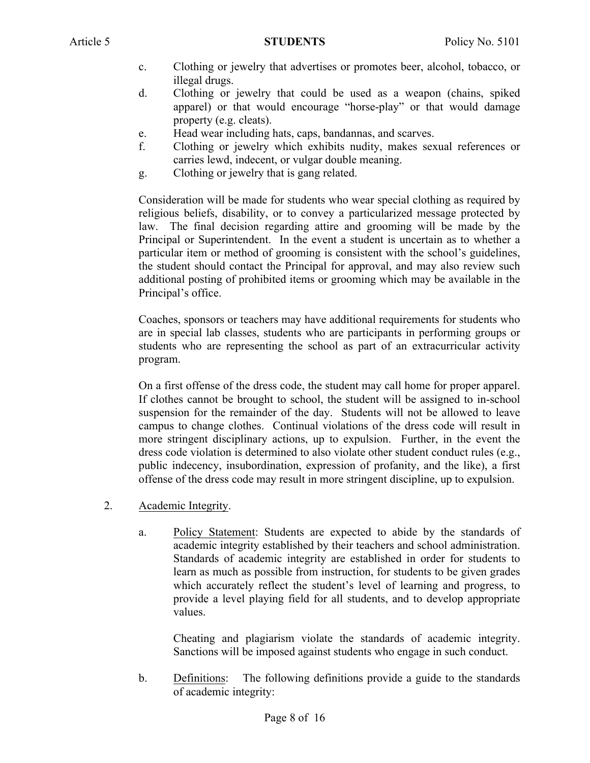- c. Clothing or jewelry that advertises or promotes beer, alcohol, tobacco, or illegal drugs.
- d. Clothing or jewelry that could be used as a weapon (chains, spiked apparel) or that would encourage "horse-play" or that would damage property (e.g. cleats).
- e. Head wear including hats, caps, bandannas, and scarves.
- f. Clothing or jewelry which exhibits nudity, makes sexual references or carries lewd, indecent, or vulgar double meaning.
- g. Clothing or jewelry that is gang related.

Consideration will be made for students who wear special clothing as required by religious beliefs, disability, or to convey a particularized message protected by law. The final decision regarding attire and grooming will be made by the Principal or Superintendent. In the event a student is uncertain as to whether a particular item or method of grooming is consistent with the school's guidelines, the student should contact the Principal for approval, and may also review such additional posting of prohibited items or grooming which may be available in the Principal's office.

Coaches, sponsors or teachers may have additional requirements for students who are in special lab classes, students who are participants in performing groups or students who are representing the school as part of an extracurricular activity program.

On a first offense of the dress code, the student may call home for proper apparel. If clothes cannot be brought to school, the student will be assigned to in-school suspension for the remainder of the day. Students will not be allowed to leave campus to change clothes. Continual violations of the dress code will result in more stringent disciplinary actions, up to expulsion. Further, in the event the dress code violation is determined to also violate other student conduct rules (e.g., public indecency, insubordination, expression of profanity, and the like), a first offense of the dress code may result in more stringent discipline, up to expulsion.

- 2. Academic Integrity.
	- a. Policy Statement: Students are expected to abide by the standards of academic integrity established by their teachers and school administration. Standards of academic integrity are established in order for students to learn as much as possible from instruction, for students to be given grades which accurately reflect the student's level of learning and progress, to provide a level playing field for all students, and to develop appropriate values.

Cheating and plagiarism violate the standards of academic integrity. Sanctions will be imposed against students who engage in such conduct.

b. Definitions: The following definitions provide a guide to the standards of academic integrity: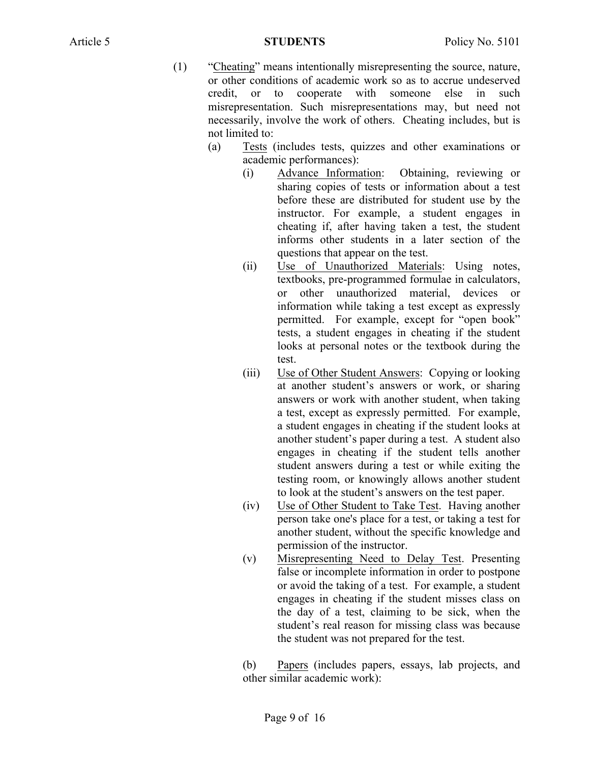- (1) "Cheating" means intentionally misrepresenting the source, nature, or other conditions of academic work so as to accrue undeserved credit, or to cooperate with someone else in such misrepresentation. Such misrepresentations may, but need not necessarily, involve the work of others. Cheating includes, but is not limited to:
	- (a) Tests (includes tests, quizzes and other examinations or academic performances):
		- (i) Advance Information: Obtaining, reviewing or sharing copies of tests or information about a test before these are distributed for student use by the instructor. For example, a student engages in cheating if, after having taken a test, the student informs other students in a later section of the questions that appear on the test.
		- (ii) Use of Unauthorized Materials: Using notes, textbooks, pre-programmed formulae in calculators, or other unauthorized material, devices or information while taking a test except as expressly permitted. For example, except for "open book" tests, a student engages in cheating if the student looks at personal notes or the textbook during the test.
		- (iii) Use of Other Student Answers: Copying or looking at another student's answers or work, or sharing answers or work with another student, when taking a test, except as expressly permitted. For example, a student engages in cheating if the student looks at another student's paper during a test. A student also engages in cheating if the student tells another student answers during a test or while exiting the testing room, or knowingly allows another student to look at the student's answers on the test paper.
		- (iv) Use of Other Student to Take Test. Having another person take one's place for a test, or taking a test for another student, without the specific knowledge and permission of the instructor.
		- (v) Misrepresenting Need to Delay Test. Presenting false or incomplete information in order to postpone or avoid the taking of a test. For example, a student engages in cheating if the student misses class on the day of a test, claiming to be sick, when the student's real reason for missing class was because the student was not prepared for the test.

(b) Papers (includes papers, essays, lab projects, and other similar academic work):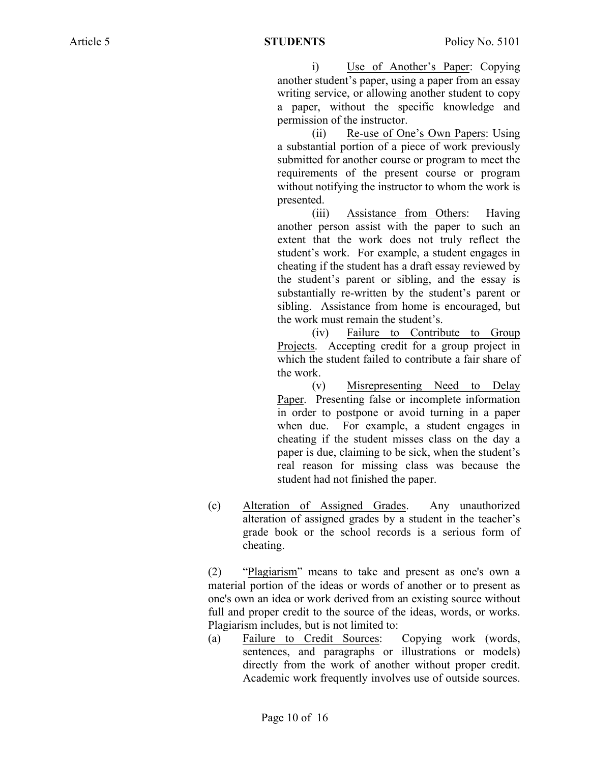i) Use of Another's Paper: Copying another student's paper, using a paper from an essay writing service, or allowing another student to copy a paper, without the specific knowledge and permission of the instructor.

(ii) Re-use of One's Own Papers: Using a substantial portion of a piece of work previously submitted for another course or program to meet the requirements of the present course or program without notifying the instructor to whom the work is presented.

(iii) Assistance from Others: Having another person assist with the paper to such an extent that the work does not truly reflect the student's work. For example, a student engages in cheating if the student has a draft essay reviewed by the student's parent or sibling, and the essay is substantially re-written by the student's parent or sibling. Assistance from home is encouraged, but the work must remain the student's.

(iv) Failure to Contribute to Group Projects. Accepting credit for a group project in which the student failed to contribute a fair share of the work.

(v) Misrepresenting Need to Delay Paper. Presenting false or incomplete information in order to postpone or avoid turning in a paper when due. For example, a student engages in cheating if the student misses class on the day a paper is due, claiming to be sick, when the student's real reason for missing class was because the student had not finished the paper.

(c) Alteration of Assigned Grades. Any unauthorized alteration of assigned grades by a student in the teacher's grade book or the school records is a serious form of cheating.

(2) "Plagiarism" means to take and present as one's own a material portion of the ideas or words of another or to present as one's own an idea or work derived from an existing source without full and proper credit to the source of the ideas, words, or works. Plagiarism includes, but is not limited to:

(a) Failure to Credit Sources: Copying work (words, sentences, and paragraphs or illustrations or models) directly from the work of another without proper credit. Academic work frequently involves use of outside sources.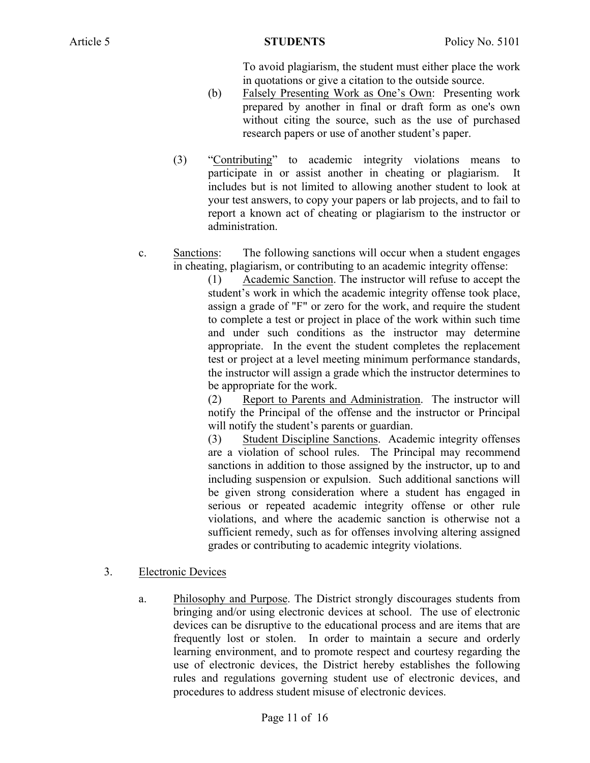To avoid plagiarism, the student must either place the work in quotations or give a citation to the outside source.

- (b) Falsely Presenting Work as One's Own: Presenting work prepared by another in final or draft form as one's own without citing the source, such as the use of purchased research papers or use of another student's paper.
- (3) "Contributing" to academic integrity violations means to participate in or assist another in cheating or plagiarism. It includes but is not limited to allowing another student to look at your test answers, to copy your papers or lab projects, and to fail to report a known act of cheating or plagiarism to the instructor or administration.
- c. Sanctions: The following sanctions will occur when a student engages in cheating, plagiarism, or contributing to an academic integrity offense:

(1) Academic Sanction. The instructor will refuse to accept the student's work in which the academic integrity offense took place, assign a grade of "F" or zero for the work, and require the student to complete a test or project in place of the work within such time and under such conditions as the instructor may determine appropriate. In the event the student completes the replacement test or project at a level meeting minimum performance standards, the instructor will assign a grade which the instructor determines to be appropriate for the work.

(2) Report to Parents and Administration. The instructor will notify the Principal of the offense and the instructor or Principal will notify the student's parents or guardian.

(3) Student Discipline Sanctions. Academic integrity offenses are a violation of school rules. The Principal may recommend sanctions in addition to those assigned by the instructor, up to and including suspension or expulsion. Such additional sanctions will be given strong consideration where a student has engaged in serious or repeated academic integrity offense or other rule violations, and where the academic sanction is otherwise not a sufficient remedy, such as for offenses involving altering assigned grades or contributing to academic integrity violations.

## 3. Electronic Devices

a. Philosophy and Purpose. The District strongly discourages students from bringing and/or using electronic devices at school. The use of electronic devices can be disruptive to the educational process and are items that are frequently lost or stolen. In order to maintain a secure and orderly learning environment, and to promote respect and courtesy regarding the use of electronic devices, the District hereby establishes the following rules and regulations governing student use of electronic devices, and procedures to address student misuse of electronic devices.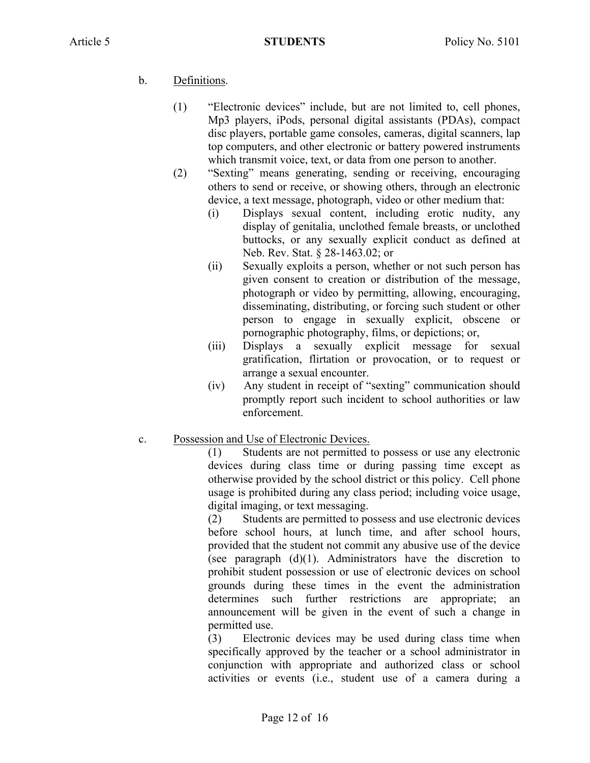# b. Definitions.

- (1) "Electronic devices" include, but are not limited to, cell phones, Mp3 players, iPods, personal digital assistants (PDAs), compact disc players, portable game consoles, cameras, digital scanners, lap top computers, and other electronic or battery powered instruments which transmit voice, text, or data from one person to another.
- (2) "Sexting" means generating, sending or receiving, encouraging others to send or receive, or showing others, through an electronic device, a text message, photograph, video or other medium that:
	- (i) Displays sexual content, including erotic nudity, any display of genitalia, unclothed female breasts, or unclothed buttocks, or any sexually explicit conduct as defined at Neb. Rev. Stat. § 28-1463.02; or
	- (ii) Sexually exploits a person, whether or not such person has given consent to creation or distribution of the message, photograph or video by permitting, allowing, encouraging, disseminating, distributing, or forcing such student or other person to engage in sexually explicit, obscene or pornographic photography, films, or depictions; or,
	- (iii) Displays a sexually explicit message for sexual gratification, flirtation or provocation, or to request or arrange a sexual encounter.
	- (iv) Any student in receipt of "sexting" communication should promptly report such incident to school authorities or law enforcement.
- c. Possession and Use of Electronic Devices.

(1) Students are not permitted to possess or use any electronic devices during class time or during passing time except as otherwise provided by the school district or this policy. Cell phone usage is prohibited during any class period; including voice usage, digital imaging, or text messaging.

(2) Students are permitted to possess and use electronic devices before school hours, at lunch time, and after school hours, provided that the student not commit any abusive use of the device (see paragraph  $(d)(1)$ . Administrators have the discretion to prohibit student possession or use of electronic devices on school grounds during these times in the event the administration determines such further restrictions are appropriate; an announcement will be given in the event of such a change in permitted use.

(3) Electronic devices may be used during class time when specifically approved by the teacher or a school administrator in conjunction with appropriate and authorized class or school activities or events (i.e., student use of a camera during a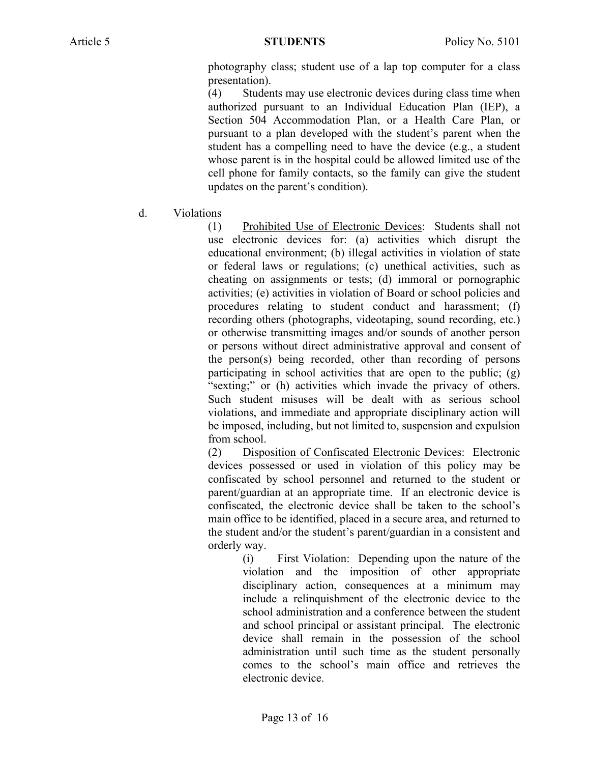photography class; student use of a lap top computer for a class presentation).

(4) Students may use electronic devices during class time when authorized pursuant to an Individual Education Plan (IEP), a Section 504 Accommodation Plan, or a Health Care Plan, or pursuant to a plan developed with the student's parent when the student has a compelling need to have the device (e.g., a student whose parent is in the hospital could be allowed limited use of the cell phone for family contacts, so the family can give the student updates on the parent's condition).

d. Violations

(1) Prohibited Use of Electronic Devices: Students shall not use electronic devices for: (a) activities which disrupt the educational environment; (b) illegal activities in violation of state or federal laws or regulations; (c) unethical activities, such as cheating on assignments or tests; (d) immoral or pornographic activities; (e) activities in violation of Board or school policies and procedures relating to student conduct and harassment; (f) recording others (photographs, videotaping, sound recording, etc.) or otherwise transmitting images and/or sounds of another person or persons without direct administrative approval and consent of the person(s) being recorded, other than recording of persons participating in school activities that are open to the public; (g) "sexting;" or (h) activities which invade the privacy of others. Such student misuses will be dealt with as serious school violations, and immediate and appropriate disciplinary action will be imposed, including, but not limited to, suspension and expulsion from school.

(2) Disposition of Confiscated Electronic Devices: Electronic devices possessed or used in violation of this policy may be confiscated by school personnel and returned to the student or parent/guardian at an appropriate time. If an electronic device is confiscated, the electronic device shall be taken to the school's main office to be identified, placed in a secure area, and returned to the student and/or the student's parent/guardian in a consistent and orderly way.

(i) First Violation: Depending upon the nature of the violation and the imposition of other appropriate disciplinary action, consequences at a minimum may include a relinquishment of the electronic device to the school administration and a conference between the student and school principal or assistant principal. The electronic device shall remain in the possession of the school administration until such time as the student personally comes to the school's main office and retrieves the electronic device.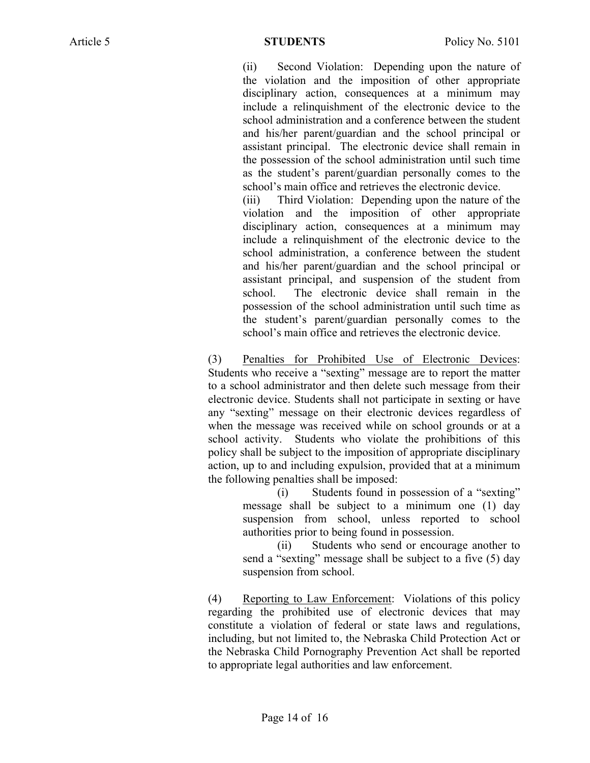(ii) Second Violation: Depending upon the nature of the violation and the imposition of other appropriate disciplinary action, consequences at a minimum may include a relinquishment of the electronic device to the school administration and a conference between the student and his/her parent/guardian and the school principal or assistant principal. The electronic device shall remain in the possession of the school administration until such time as the student's parent/guardian personally comes to the school's main office and retrieves the electronic device.

(iii) Third Violation: Depending upon the nature of the violation and the imposition of other appropriate disciplinary action, consequences at a minimum may include a relinquishment of the electronic device to the school administration, a conference between the student and his/her parent/guardian and the school principal or assistant principal, and suspension of the student from school. The electronic device shall remain in the possession of the school administration until such time as the student's parent/guardian personally comes to the school's main office and retrieves the electronic device.

(3) Penalties for Prohibited Use of Electronic Devices: Students who receive a "sexting" message are to report the matter to a school administrator and then delete such message from their electronic device. Students shall not participate in sexting or have any "sexting" message on their electronic devices regardless of when the message was received while on school grounds or at a school activity. Students who violate the prohibitions of this policy shall be subject to the imposition of appropriate disciplinary action, up to and including expulsion, provided that at a minimum the following penalties shall be imposed:

(i) Students found in possession of a "sexting" message shall be subject to a minimum one (1) day suspension from school, unless reported to school authorities prior to being found in possession.

(ii) Students who send or encourage another to send a "sexting" message shall be subject to a five (5) day suspension from school.

(4) Reporting to Law Enforcement: Violations of this policy regarding the prohibited use of electronic devices that may constitute a violation of federal or state laws and regulations, including, but not limited to, the Nebraska Child Protection Act or the Nebraska Child Pornography Prevention Act shall be reported to appropriate legal authorities and law enforcement.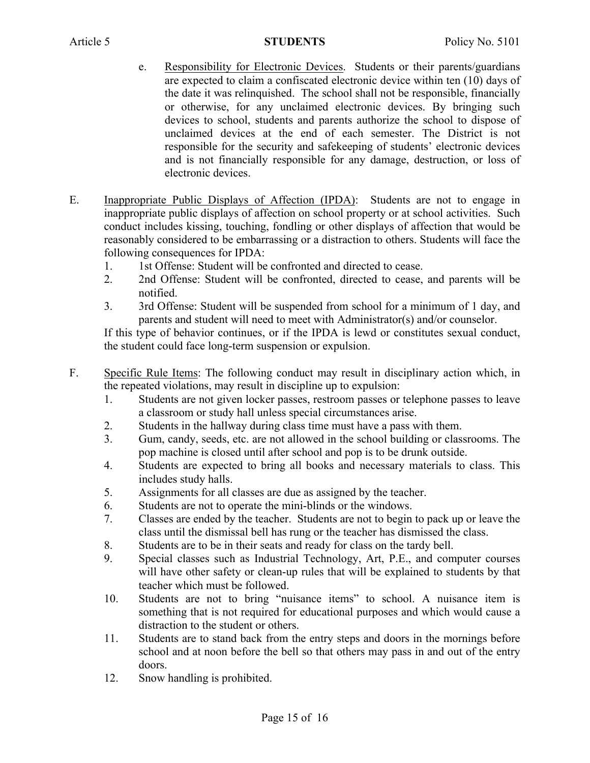- e. Responsibility for Electronic Devices. Students or their parents/guardians are expected to claim a confiscated electronic device within ten (10) days of the date it was relinquished. The school shall not be responsible, financially or otherwise, for any unclaimed electronic devices. By bringing such devices to school, students and parents authorize the school to dispose of unclaimed devices at the end of each semester. The District is not responsible for the security and safekeeping of students' electronic devices and is not financially responsible for any damage, destruction, or loss of electronic devices.
- E. Inappropriate Public Displays of Affection (IPDA): Students are not to engage in inappropriate public displays of affection on school property or at school activities. Such conduct includes kissing, touching, fondling or other displays of affection that would be reasonably considered to be embarrassing or a distraction to others. Students will face the following consequences for IPDA:
	- 1. 1st Offense: Student will be confronted and directed to cease.
	- 2. 2nd Offense: Student will be confronted, directed to cease, and parents will be notified.
	- 3. 3rd Offense: Student will be suspended from school for a minimum of 1 day, and parents and student will need to meet with Administrator(s) and/or counselor.

If this type of behavior continues, or if the IPDA is lewd or constitutes sexual conduct, the student could face long-term suspension or expulsion.

- F. Specific Rule Items: The following conduct may result in disciplinary action which, in the repeated violations, may result in discipline up to expulsion:
	- 1. Students are not given locker passes, restroom passes or telephone passes to leave a classroom or study hall unless special circumstances arise.
	- 2. Students in the hallway during class time must have a pass with them.
	- 3. Gum, candy, seeds, etc. are not allowed in the school building or classrooms. The pop machine is closed until after school and pop is to be drunk outside.
	- 4. Students are expected to bring all books and necessary materials to class. This includes study halls.
	- 5. Assignments for all classes are due as assigned by the teacher.
	- 6. Students are not to operate the mini-blinds or the windows.
	- 7. Classes are ended by the teacher. Students are not to begin to pack up or leave the class until the dismissal bell has rung or the teacher has dismissed the class.
	- 8. Students are to be in their seats and ready for class on the tardy bell.
	- 9. Special classes such as Industrial Technology, Art, P.E., and computer courses will have other safety or clean-up rules that will be explained to students by that teacher which must be followed.
	- 10. Students are not to bring "nuisance items" to school. A nuisance item is something that is not required for educational purposes and which would cause a distraction to the student or others.
	- 11. Students are to stand back from the entry steps and doors in the mornings before school and at noon before the bell so that others may pass in and out of the entry doors.
	- 12. Snow handling is prohibited.